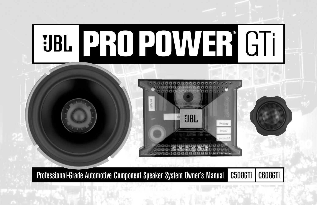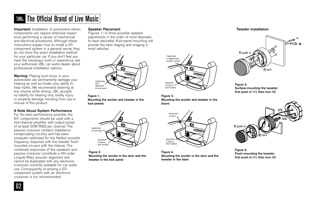# The Official Brand of Live Music

**Important:** Installation of automotive stereo components can require extensive experience performing a variety of mechanical and electrical procedures. Although these instructions explain how to install a GTi component system in a general sense, they do not show the exact installation method for your particular car. If you don't feel you have the necessary tools or experience, ask your authorized JBL car audio dealer about professional installation options.

**Warning:** Playing loud music in your automobile can permanently damage your hearing as well as hinder your ability to hear traffic. We recommend listening at low volume while driving. JBL accepts no liability for hearing loss, bodily injury or property damage resulting from use or misuse of this product.

## **A Note About System Performance**

For the best performance possible, the GTi components should be used with a two-channel amplifier with output power of at least 50W RMS per channel. The passive crossover contains impedancecompensating circuitry and has been computer-optimized for the flattest possible frequency response with the tweeter flushmounted, on-axis with the listener. The combined responses of the speakers and passive crossover constitute a 4th-order Linquitz-Riley acoustic alignment and cannot be duplicated with any electronic crossover currently available for car audio use. Consequently, bi-amping a GTi component system with an electronic crossover is not recommended.

### **Speaker Placement**

Figures 1–4 show possible speaker placements in the order of most desirable to least desirable. Kick-panel mounting will provide the best staging and imaging in most vehicles.



**Figure 1. Mounting the woofer and tweeter in the kick panels** 



**Figure 2. Mounting the woofer in the door and the tweeter in the kick panel**



Fig 1 Fig 3 **Mounting the woofer and tweeter in the Figure 3. doors** 



**Figure 4. Mounting the woofer in the door and the tweeter in the dash** 

#### **Tweeter Installation**



**Figure 5. Surface-mounting the tweeter: first push in (1), then turn (2)**



**Figure 6. Flush-mounting the tweeter: first push in (1), then turn (2)**

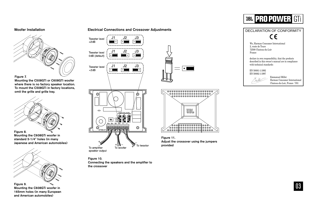#### **Woofer Installation**



**Mounting the C508GTi or C608GTi woofer where there is no factory speaker location. To mount the C508GTi in factory locations, omit the grille and grille tray.**



**Figure 8. Mounting the C608GTi woofer in standard 5-1/4" holes (in many Japanese and American automobiles)**



**Figure 9. Mounting the C608GTi woofer in 165mm holes (in many European and American automobiles)**

#### **Electrical Connections and Crossover Adjustments**



speaker output

**Figure 10. Connecting the speakers and the amplifier to the crossover**





**Figure 11. Adjust the crossover using the jumpers provided**





03